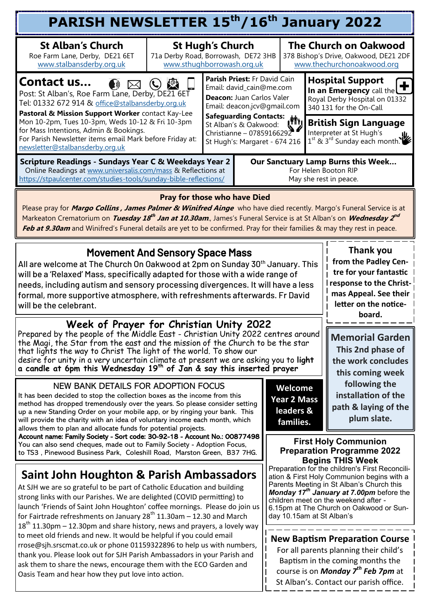| PARISH NEWSLETTER 15 <sup>th</sup> /16 <sup>th</sup> January 2022                                                                                                                                                                                                                                                                                                                                                                                                                                                                                                                                                                                                     |                                                                                              |                                                                                                                                                                                                                                                                                                                    |  |                                                                                             |                                                                                                                                                                                                                                   |                                                                                                     |  |  |
|-----------------------------------------------------------------------------------------------------------------------------------------------------------------------------------------------------------------------------------------------------------------------------------------------------------------------------------------------------------------------------------------------------------------------------------------------------------------------------------------------------------------------------------------------------------------------------------------------------------------------------------------------------------------------|----------------------------------------------------------------------------------------------|--------------------------------------------------------------------------------------------------------------------------------------------------------------------------------------------------------------------------------------------------------------------------------------------------------------------|--|---------------------------------------------------------------------------------------------|-----------------------------------------------------------------------------------------------------------------------------------------------------------------------------------------------------------------------------------|-----------------------------------------------------------------------------------------------------|--|--|
| <b>St Alban's Church</b><br>Roe Farm Lane, Derby, DE21 6ET<br>www.stalbansderby.org.uk                                                                                                                                                                                                                                                                                                                                                                                                                                                                                                                                                                                | <b>St Hugh's Church</b><br>71a Derby Road, Borrowash, DE72 3HB<br>www.sthughborrowash.org.uk |                                                                                                                                                                                                                                                                                                                    |  |                                                                                             |                                                                                                                                                                                                                                   | <b>The Church on Oakwood</b><br>378 Bishop's Drive, Oakwood, DE21 2DF<br>www.thechurchonoakwood.org |  |  |
| Parish Priest: Fr David Cain<br>Contact us<br>$\rightarrow$<br>$\left( \begin{matrix} 0 \\ 0 \end{matrix} \right)$<br>Email: david_cain@me.com<br>Post: St Alban's, Roe Farm Lane, Derby, DE21 6ET<br>Deacon: Juan Carlos Valer<br>Tel: 01332 672 914 & office@stalbansderby.org.uk<br>Email: deacon.jcv@gmail.com<br>Pastoral & Mission Support Worker contact Kay-Lee<br>Email. usussaling Contacts: (1)<br>Mon 10-2pm, Tues 10-3pm, Weds 10-12 & Fri 10-3pm<br>for Mass Intentions, Admin & Bookings.<br>Christianne - 07859166292<br>For Parish Newsletter items email Mark before Friday at:<br>St Hugh's: Margaret - 674 216<br>newsletter@stalbansderby.org.uk |                                                                                              |                                                                                                                                                                                                                                                                                                                    |  |                                                                                             | <b>Hospital Support</b><br>In an Emergency call the $\bigoplus$<br>Royal Derby Hospital on 01332<br>340 131 for the On-Call<br><b>British Sign Language</b><br>Interpreter at St Hugh's<br>$1^{st}$ & $3^{rd}$ Sunday each month. |                                                                                                     |  |  |
| <b>Scripture Readings - Sundays Year C &amp; Weekdays Year 2</b><br>Online Readings at www.universalis.com/mass & Reflections at<br>https://stpaulcenter.com/studies-tools/sunday-bible-reflections/                                                                                                                                                                                                                                                                                                                                                                                                                                                                  |                                                                                              | Our Sanctuary Lamp Burns this Week<br>For Helen Booton RIP<br>May she rest in peace.                                                                                                                                                                                                                               |  |                                                                                             |                                                                                                                                                                                                                                   |                                                                                                     |  |  |
| <b>Pray for those who have Died</b><br>Please pray for <i>Margo Collins, James Palmer &amp; Winifred Ainge</i> who have died recently. Margo's Funeral Service is at<br>Markeaton Crematorium on Tuesday 18 <sup>th</sup> Jan at 10.30am., James's Funeral Service is at St Alban's on Wednesday 2 <sup>nd</sup><br>Feb at 9.30am and Winifred's Funeral details are yet to be confirmed. Pray for their families & may they rest in peace.                                                                                                                                                                                                                           |                                                                                              |                                                                                                                                                                                                                                                                                                                    |  |                                                                                             |                                                                                                                                                                                                                                   |                                                                                                     |  |  |
| <b>Movement And Sensory Space Mass</b><br>All are welcome at The Church On Oakwood at 2pm on Sunday 30 <sup>th</sup> January. This<br>will be a 'Relaxed' Mass, specifically adapted for those with a wide range of<br>needs, including autism and sensory processing divergences. It will have a less<br>formal, more supportive atmosphere, with refreshments afterwards. Fr David<br>will be the celebrant.                                                                                                                                                                                                                                                        |                                                                                              | Thank you<br>from the Padley Cen-<br>tre for your fantastic<br>response to the Christ-<br>mas Appeal. See their<br>letter on the notice-<br>board.                                                                                                                                                                 |  |                                                                                             |                                                                                                                                                                                                                                   |                                                                                                     |  |  |
| <b>Week of Prayer for Christian Unity 2022</b><br>Prepared by the people of the Middle East - Christian Unity 2022 centres around<br>the Magi, the Star from the east and the mission of the Church to be the star<br>that lights the way to Christ The light of the world. To show our<br>desire for unity in a very uncertain climate at present we are asking you to light<br>a candle at 6pm this Wednesday 19 <sup>th</sup> of Jan & say this inserted prayer                                                                                                                                                                                                    | Memorial Garden<br>This 2nd phase of<br>the work concludes<br>this coming week               |                                                                                                                                                                                                                                                                                                                    |  |                                                                                             |                                                                                                                                                                                                                                   |                                                                                                     |  |  |
| NEW BANK DETAILS FOR ADOPTION FOCUS<br>It has been decided to stop the collection boxes as the income from this<br>method has dropped tremendously over the years. So please consider setting<br>up a new Standing Order on your mobile app, or by ringing your bank. This<br>will provide the charity with an idea of voluntary income each month, which<br>allows them to plan and allocate funds for potential projects.                                                                                                                                                                                                                                           |                                                                                              | Welcome<br><b>Year 2 Mass</b><br>leaders &<br>families.                                                                                                                                                                                                                                                            |  | following the<br>installation of the<br>path & laying of the<br>plum slate.                 |                                                                                                                                                                                                                                   |                                                                                                     |  |  |
| Account name: Family Society - Sort code: 30-92-18 - Account No.: 00877498<br>You can also send cheques, made out to Family Society - Adoption Focus,<br>to TS3, Pinewood Business Park, Coleshill Road, Marston Green, B37 7HG.                                                                                                                                                                                                                                                                                                                                                                                                                                      |                                                                                              |                                                                                                                                                                                                                                                                                                                    |  | <b>First Holy Communion</b><br><b>Preparation Programme 2022</b><br><b>Begins THIS Week</b> |                                                                                                                                                                                                                                   |                                                                                                     |  |  |
| Saint John Houghton & Parish Ambassadors<br>At SJH we are so grateful to be part of Catholic Education and building<br>strong links with our Parishes. We are delighted (COVID permitting) to<br>launch 'Friends of Saint John Houghton' coffee mornings. Please do join us<br>for Fairtrade refreshments on January 28 <sup>th</sup> 11.30am – 12.30 and March                                                                                                                                                                                                                                                                                                       |                                                                                              | Preparation for the children's First Reconcili-<br>ation & First Holy Communion begins with a<br>Parents Meeting in St Alban's Church this<br>Monday 17 <sup>th</sup> January at 7.00pm before the<br>children meet on the weekend after -<br>6.15pm at The Church on Oakwood or Sun-<br>day 10.15am at St Alban's |  |                                                                                             |                                                                                                                                                                                                                                   |                                                                                                     |  |  |
| $18th$ 11.30pm – 12.30pm and share history, news and prayers, a lovely way<br>to meet old friends and new. It would be helpful if you could email<br>rrose@sjh.srscmat.co.uk or phone 01159322896 to help us with numbers,<br>thank you. Please look out for SJH Parish Ambassadors in your Parish and<br>ask them to share the news, encourage them with the ECO Garden and<br>Oasis Team and hear how they put love into action.                                                                                                                                                                                                                                    |                                                                                              |                                                                                                                                                                                                                                                                                                                    |  |                                                                                             | <b>New Baptism Preparation Course</b><br>For all parents planning their child's<br>Baptism in the coming months the<br>course is on <b>Monday 7<sup>th</sup> Feb 7pm</b> at<br>St Alban's. Contact our parish office.             |                                                                                                     |  |  |